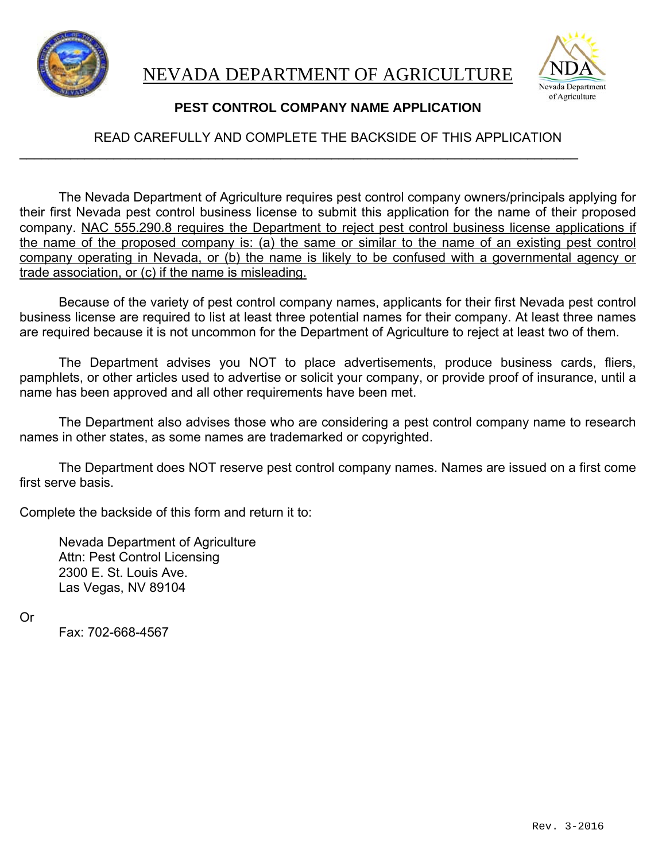



## **PEST CONTROL COMPANY NAME APPLICATION**

## READ CAREFULLY AND COMPLETE THE BACKSIDE OF THIS APPLICATION

 $\overline{\phantom{a}}$  , and the contribution of the contribution of the contribution of the contribution of the contribution of the contribution of the contribution of the contribution of the contribution of the contribution of the

The Nevada Department of Agriculture requires pest control company owners/principals applying for their first Nevada pest control business license to submit this application for the name of their proposed company. NAC 555.290.8 requires the Department to reject pest control business license applications if the name of the proposed company is: (a) the same or similar to the name of an existing pest control company operating in Nevada, or (b) the name is likely to be confused with a governmental agency or trade association, or (c) if the name is misleading.

Because of the variety of pest control company names, applicants for their first Nevada pest control business license are required to list at least three potential names for their company. At least three names are required because it is not uncommon for the Department of Agriculture to reject at least two of them.

The Department advises you NOT to place advertisements, produce business cards, fliers, pamphlets, or other articles used to advertise or solicit your company, or provide proof of insurance, until a name has been approved and all other requirements have been met.

The Department also advises those who are considering a pest control company name to research names in other states, as some names are trademarked or copyrighted.

The Department does NOT reserve pest control company names. Names are issued on a first come first serve basis.

Complete the backside of this form and return it to:

 Nevada Department of Agriculture Attn: Pest Control Licensing 2300 E. St. Louis Ave. Las Vegas, NV 89104

Or

Fax: 702-668-4567